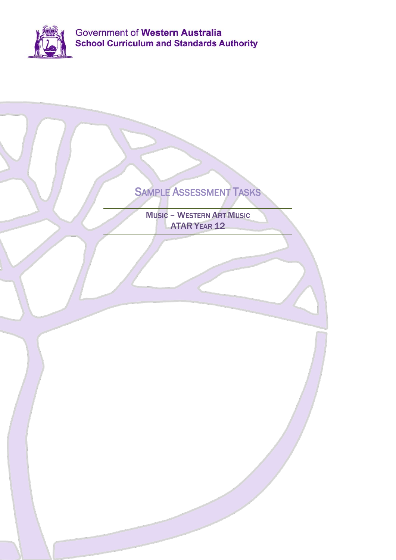

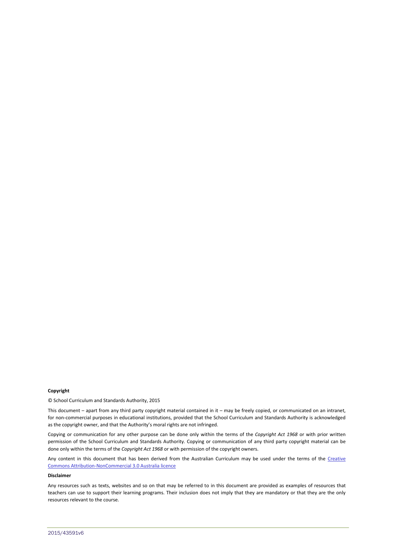### **Copyright**

© School Curriculum and Standards Authority, 2015

This document – apart from any third party copyright material contained in it – may be freely copied, or communicated on an intranet, for non-commercial purposes in educational institutions, provided that the School Curriculum and Standards Authority is acknowledged as the copyright owner, and that the Authority's moral rights are not infringed.

Copying or communication for any other purpose can be done only within the terms of the *Copyright Act 1968* or with prior written permission of the School Curriculum and Standards Authority. Copying or communication of any third party copyright material can be done only within the terms of the *Copyright Act 1968* or with permission of the copyright owners.

Any content in this document that has been derived from the Australian Curriculum may be used under the terms of the Creative [Commons Attribution-NonCommercial 3.0 Australia licence](http://creativecommons.org/licenses/by-nc/3.0/au/)

### **Disclaimer**

Any resources such as texts, websites and so on that may be referred to in this document are provided as examples of resources that teachers can use to support their learning programs. Their inclusion does not imply that they are mandatory or that they are the only resources relevant to the course.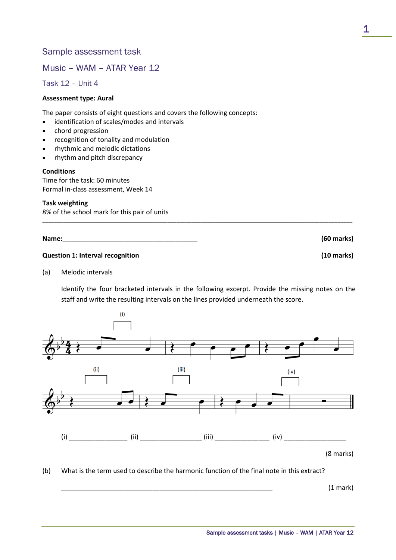### Sample assessment task

### Music – WAM – ATAR Year 12

Task 12 – Unit 4

### **Assessment type: Aural**

The paper consists of eight questions and covers the following concepts:

- identification of scales/modes and intervals
- chord progression
- recognition of tonality and modulation
- rhythmic and melodic dictations
- rhythm and pitch discrepancy

### **Conditions**

Time for the task: 60 minutes Formal in-class assessment, Week 14

### **Task weighting**

8% of the school mark for this pair of units

| Name: | $(60$ marks) |
|-------|--------------|
|-------|--------------|

\_\_\_\_\_\_\_\_\_\_\_\_\_\_\_\_\_\_\_\_\_\_\_\_\_\_\_\_\_\_\_\_\_\_\_\_\_\_\_\_\_\_\_\_\_\_\_\_\_\_\_\_\_\_\_\_\_\_\_\_\_\_\_\_\_\_\_\_\_\_\_\_\_\_\_\_\_\_\_\_\_\_\_\_\_\_\_\_\_\_\_\_\_\_\_\_\_\_\_\_\_\_\_\_

### **Question 1: Interval recognition (10 marks)**

### (a) Melodic intervals

Identify the four bracketed intervals in the following excerpt. Provide the missing notes on the staff and write the resulting intervals on the lines provided underneath the score.



\_\_\_\_\_\_\_\_\_\_\_\_\_\_\_\_\_\_\_\_\_\_\_\_\_\_\_\_\_\_\_\_\_\_\_\_\_\_\_\_\_\_\_\_\_\_\_\_\_\_\_\_\_\_\_\_\_\_ (1 mark)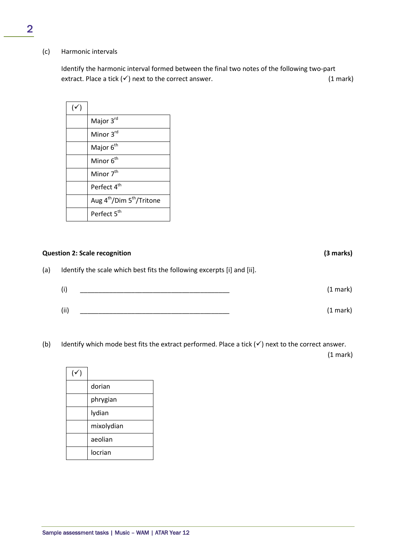(c) Harmonic intervals

Identify the harmonic interval formed between the final two notes of the following two-part extract. Place a tick  $(\checkmark)$  next to the correct answer. (1 mark)

| Major 3rd                                         |
|---------------------------------------------------|
| Minor 3rd                                         |
| Major 6 <sup>th</sup>                             |
| Minor 6 <sup>th</sup>                             |
| Minor 7 <sup>th</sup>                             |
| Perfect 4 <sup>th</sup>                           |
| Aug 4 <sup>th</sup> /Dim 5 <sup>th</sup> /Tritone |
| Perfect 5 <sup>th</sup>                           |

# **Question 2: Scale recognition (3 marks)** (a) Identify the scale which best fits the following excerpts [i] and [ii].  $(i)$   $(1 \text{ mark})$  $(i)$   $(1 \text{ mark})$

(b) Identify which mode best fits the extract performed. Place a tick  $(\checkmark)$  next to the correct answer.

(1 mark)

| (√ |            |
|----|------------|
|    | dorian     |
|    | phrygian   |
|    | lydian     |
|    | mixolydian |
|    | aeolian    |
|    | locrian    |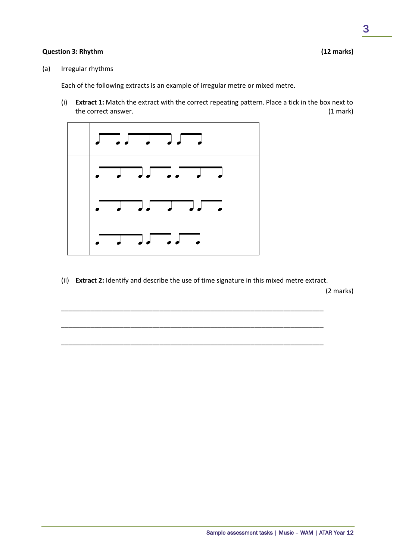### **Question 3: Rhythm (12 marks)**

(a) Irregular rhythms

Each of the following extracts is an example of irregular metre or mixed metre.

(i) **Extract 1:** Match the extract with the correct repeating pattern. Place a tick in the box next to the correct answer. (1 mark)

| $\sqrt{2}$                                                        |
|-------------------------------------------------------------------|
|                                                                   |
|                                                                   |
| $\overline{J}$ , $\overline{J}$ , $\overline{J}$ , $\overline{J}$ |

(ii) **Extract 2:** Identify and describe the use of time signature in this mixed metre extract.

\_\_\_\_\_\_\_\_\_\_\_\_\_\_\_\_\_\_\_\_\_\_\_\_\_\_\_\_\_\_\_\_\_\_\_\_\_\_\_\_\_\_\_\_\_\_\_\_\_\_\_\_\_\_\_\_\_\_\_\_\_\_\_\_\_\_\_\_\_\_\_\_

\_\_\_\_\_\_\_\_\_\_\_\_\_\_\_\_\_\_\_\_\_\_\_\_\_\_\_\_\_\_\_\_\_\_\_\_\_\_\_\_\_\_\_\_\_\_\_\_\_\_\_\_\_\_\_\_\_\_\_\_\_\_\_\_\_\_\_\_\_\_\_\_

\_\_\_\_\_\_\_\_\_\_\_\_\_\_\_\_\_\_\_\_\_\_\_\_\_\_\_\_\_\_\_\_\_\_\_\_\_\_\_\_\_\_\_\_\_\_\_\_\_\_\_\_\_\_\_\_\_\_\_\_\_\_\_\_\_\_\_\_\_\_\_\_

(2 marks)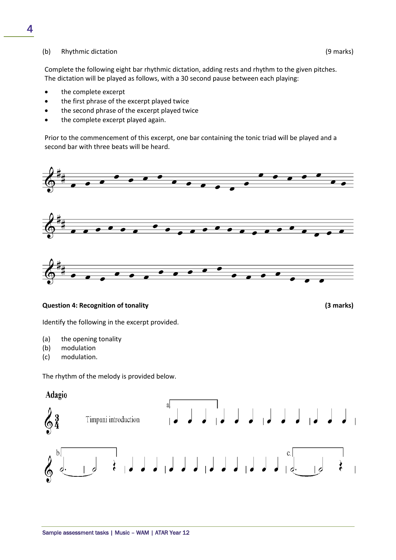### (b) Rhythmic dictation (9 marks)

Complete the following eight bar rhythmic dictation, adding rests and rhythm to the given pitches. The dictation will be played as follows, with a 30 second pause between each playing:

- the complete excerpt
- the first phrase of the excerpt played twice
- the second phrase of the excerpt played twice
- the complete excerpt played again.

Prior to the commencement of this excerpt, one bar containing the tonic triad will be played and a second bar with three beats will be heard.



### **Question 4: Recognition of tonality (3 marks)**

Identify the following in the excerpt provided.

- (a) the opening tonality
- (b) modulation
- (c) modulation.

The rhythm of the melody is provided below.

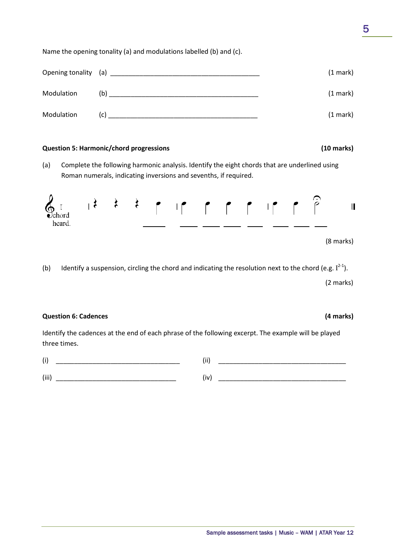Name the opening tonality (a) and modulations labelled (b) and (c).

| Opening tonality (a) | <u> 1980 - Jan James James Santan (j. 1980)</u> | $(1 \text{ mark})$ |
|----------------------|-------------------------------------------------|--------------------|
| Modulation           | (b)                                             | $(1 \text{ mark})$ |
| Modulation           | (c)                                             | $(1 \text{ mark})$ |

### **Question 5: Harmonic/chord progressions (10 marks)**

(a) Complete the following harmonic analysis. Identify the eight chords that are underlined using Roman numerals, indicating inversions and sevenths, if required.

| $\oint_{\text{chord}}$ $i \leftarrow i$ $i \leftarrow i$ $i \leftarrow i$ $i \leftarrow i$ $i \leftarrow i$ $i \leftarrow i$ $i \leftarrow i$ $i \leftarrow i$ $i \leftarrow i$<br>heard. |  |  |  |  |  |           |
|-------------------------------------------------------------------------------------------------------------------------------------------------------------------------------------------|--|--|--|--|--|-----------|
|                                                                                                                                                                                           |  |  |  |  |  | (8 marks) |

(b) Identify a suspension, circling the chord and indicating the resolution next to the chord (e.g.  $I^{2-1}$ ).

(2 marks)

### **Question 6: Cadences (4 marks)**

Identify the cadences at the end of each phrase of the following excerpt. The example will be played three times.

| (i)   | ., |
|-------|----|
|       |    |
| (iii) |    |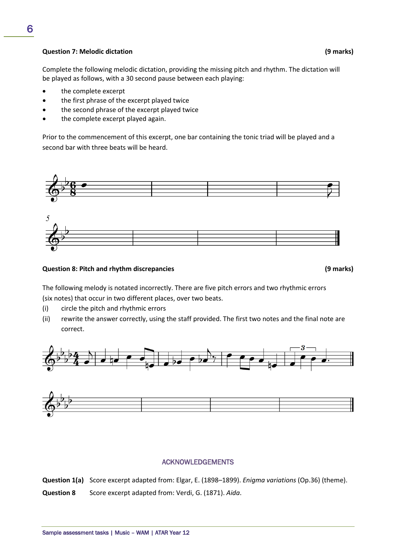### **Question 7: Melodic dictation (9 marks)**

Complete the following melodic dictation, providing the missing pitch and rhythm. The dictation will be played as follows, with a 30 second pause between each playing:

- the complete excerpt
- the first phrase of the excerpt played twice
- the second phrase of the excerpt played twice
- the complete excerpt played again.

Prior to the commencement of this excerpt, one bar containing the tonic triad will be played and a second bar with three beats will be heard.



### **Question 8: Pitch and rhythm discrepancies (9 marks)**

The following melody is notated incorrectly. There are five pitch errors and two rhythmic errors (six notes) that occur in two different places, over two beats.

- (i) circle the pitch and rhythmic errors
- (ii) rewrite the answer correctly, using the staff provided. The first two notes and the final note are correct.





### ACKNOWLEDGEMENTS

**Question 1(a)** Score excerpt adapted from: Elgar, E. (1898–1899). *Enigma variations* (Op.36) (theme). **Question 8** Score excerpt adapted from: Verdi, G. (1871). *Aida*.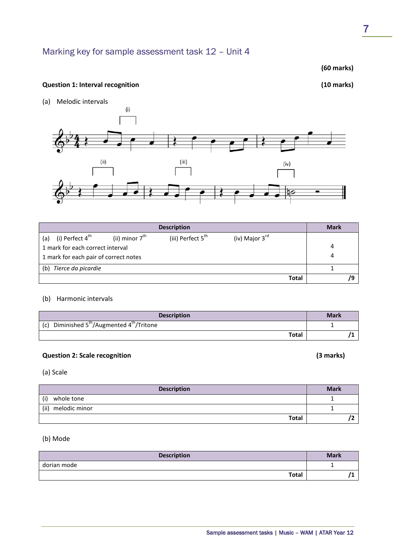## Marking key for sample assessment task 12 – Unit 4

 **(60 marks)**

## **Question 1: Interval recognition (10 marks)**

(a) Melodic intervals



| <b>Description</b>                    |                                  |                            |                               |                     |              | <b>Mark</b> |  |
|---------------------------------------|----------------------------------|----------------------------|-------------------------------|---------------------|--------------|-------------|--|
| (a)                                   | (i) Perfect 4 <sup>th</sup>      | (ii) minor 7 <sup>th</sup> | (iii) Perfect 5 <sup>th</sup> | (iv) Major $3^{rd}$ |              |             |  |
|                                       | 1 mark for each correct interval |                            |                               |                     |              |             |  |
| 1 mark for each pair of correct notes |                                  |                            |                               |                     |              |             |  |
|                                       | (b) Tierce da picardie           |                            |                               |                     |              |             |  |
|                                       |                                  |                            |                               |                     | <b>Total</b> |             |  |

### (b) Harmonic intervals

| <b>Description</b>                                   | <b>Mark</b> |
|------------------------------------------------------|-------------|
| (c) Diminished $5^{th}/$ Augmented $4^{th}/$ Tritone |             |
| Total                                                |             |

### **Question 2: Scale recognition (3 marks)**

(a) Scale

| <b>Description</b>    | <b>Mark</b> |
|-----------------------|-------------|
| (i)<br>whole tone     |             |
| (ii)<br>melodic minor |             |
| <b>Total</b>          |             |

### (b) Mode

| <b>Description</b> | <b>Mark</b> |
|--------------------|-------------|
| dorian mode        |             |
| Total              |             |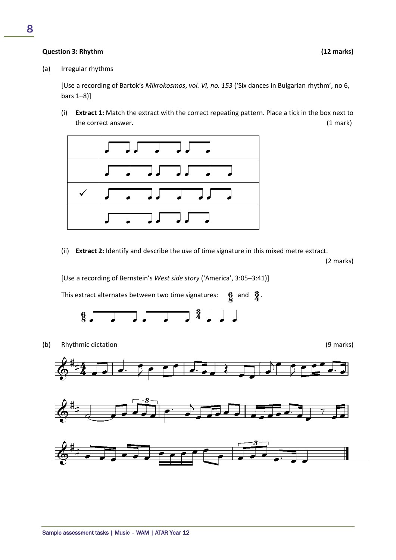### **Question 3: Rhythm (12 marks)**

(a) Irregular rhythms

[Use a recording of Bartok's *Mikrokosmos*, *vol. VI, no. 153* ('Six dances in Bulgarian rhythm', no 6, bars 1–8)]

(i) **Extract 1:** Match the extract with the correct repeating pattern. Place a tick in the box next to the correct answer. (1 mark) (1 mark)



(ii) **Extract 2:** Identify and describe the use of time signature in this mixed metre extract.

(2 marks)

[Use a recording of Bernstein's *West side story* ('America', 3:05–3:41)]

This extract alternates between two time signatures:  $\oint_{\mathbf{S}}$  and  $\oint_{\mathbf{A}}$ .



(b) Rhythmic dictation (9 marks)╢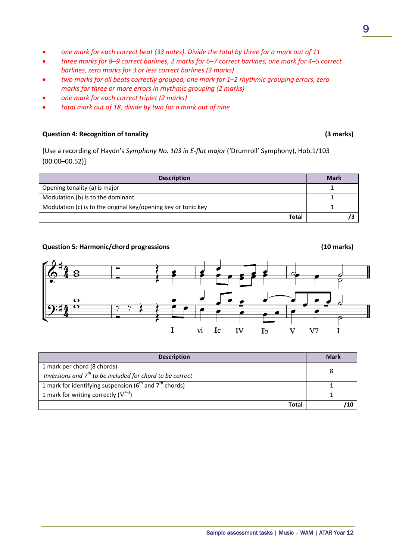- *one mark for each correct beat (33 notes). Divide the total by three for a mark out of 11*
- *three marks for 8–9 correct barlines, 2 marks for 6–7 correct barlines, one mark for 4–5 correct barlines, zero marks for 3 or less correct barlines (3 marks)*
- *two marks for all beats correctly grouped, one mark for 1–2 rhythmic grouping errors, zero marks for three or more errors in rhythmic grouping (2 marks)*
- *one mark for each correct triplet (2 marks)*
- *total mark out of 18, divide by two for a mark out of nine*

## **Question 4: Recognition of tonality (3 marks)**

[Use a recording of Haydn's *Symphony No. 103 in E-flat major* ('Drumroll' Symphony), Hob.1/103 (00.00–00.52)]

| <b>Description</b>                                             | Mark |
|----------------------------------------------------------------|------|
| Opening tonality (a) is major                                  |      |
| Modulation (b) is to the dominant                              |      |
| Modulation (c) is to the original key/opening key or tonic key |      |
| <b>Total</b>                                                   |      |

## **Question 5: Harmonic/chord progressions (10 marks)**

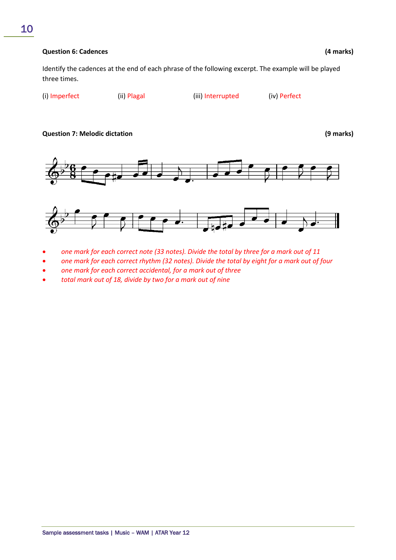### **Question 6: Cadences (4 marks)**

Identify the cadences at the end of each phrase of the following excerpt. The example will be played three times.







- *one mark for each correct note (33 notes). Divide the total by three for a mark out of 11*
- *one mark for each correct rhythm (32 notes). Divide the total by eight for a mark out of four*
- *one mark for each correct accidental, for a mark out of three*
- *total mark out of 18, divide by two for a mark out of nine*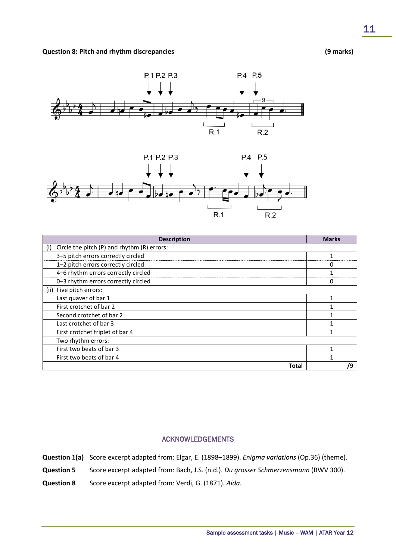



| <b>Description</b>                                 | <b>Marks</b> |
|----------------------------------------------------|--------------|
| Circle the pitch (P) and rhythm (R) errors:<br>(i) |              |
| 3-5 pitch errors correctly circled                 |              |
| 1-2 pitch errors correctly circled                 |              |
| 4-6 rhythm errors correctly circled                |              |
| 0-3 rhythm errors correctly circled                | U            |
| Five pitch errors:<br>(ii)                         |              |
| Last quaver of bar 1                               |              |
| First crotchet of bar 2                            |              |
| Second crotchet of bar 2                           |              |
| Last crotchet of bar 3                             |              |
| First crotchet triplet of bar 4                    |              |
| Two rhythm errors:                                 |              |
| First two beats of bar 3                           |              |
| First two beats of bar 4                           |              |
| Total                                              | q            |

### ACKNOWLEDGEMENTS

**Question 1(a)** Score excerpt adapted from: Elgar, E. (1898–1899). *Enigma variations* (Op.36) (theme).

**Question 5** Score excerpt adapted from: Bach, J.S. (n.d.). *Du grosser Schmerzensmann* (BWV 300).

**Question 8** Score excerpt adapted from: Verdi, G. (1871). *Aida*.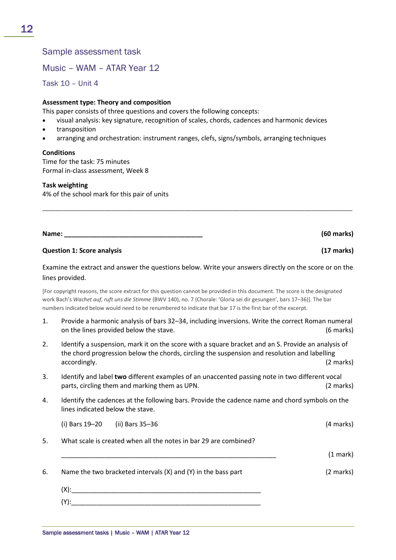### Sample assessment task

Music – WAM – ATAR Year 12

Task 10 – Unit 4

### **Assessment type: Theory and composition**

This paper consists of three questions and covers the following concepts:

- visual analysis: key signature, recognition of scales, chords, cadences and harmonic devices
- transposition
- arranging and orchestration: instrument ranges, clefs, signs/symbols, arranging techniques

### **Conditions**

Time for the task: 75 minutes Formal in-class assessment, Week 8

### **Task weighting**

4% of the school mark for this pair of units

| Name: | (60 marks) |
|-------|------------|
|       |            |

\_\_\_\_\_\_\_\_\_\_\_\_\_\_\_\_\_\_\_\_\_\_\_\_\_\_\_\_\_\_\_\_\_\_\_\_\_\_\_\_\_\_\_\_\_\_\_\_\_\_\_\_\_\_\_\_\_\_\_\_\_\_\_\_\_\_\_\_\_\_\_\_\_\_\_\_\_\_\_\_\_\_\_\_\_\_\_\_\_\_\_\_\_\_\_\_\_\_\_\_\_\_\_\_

### **Question 1: Score analysis (17 marks)**

Examine the extract and answer the questions below. Write your answers directly on the score or on the lines provided.

[For copyright reasons, the score extract for this question cannot be provided in this document. The score is the designated work Bach's *Wachet auf, ruft uns die Stimme* (BWV 140), no. 7 (Chorale: 'Gloria sei dir gesungen', bars 17–36)]. The bar numbers indicated below would need to be renumbered to indicate that bar 17 is the first bar of the excerpt.

- 1. Provide a harmonic analysis of bars 32–34, including inversions. Write the correct Roman numeral on the lines provided below the stave. (6 marks)
- 2. Identify a suspension, mark it on the score with a square bracket and an S. Provide an analysis of the chord progression below the chords, circling the suspension and resolution and labelling accordingly. (2 marks)
- 3. Identify and label **two** different examples of an unaccented passing note in two different vocal parts, circling them and marking them as UPN. (2 marks)
- 4. Identify the cadences at the following bars. Provide the cadence name and chord symbols on the lines indicated below the stave.

| (i) Bars 19–20 (ii) Bars 35–36 |  | (4 marks) |
|--------------------------------|--|-----------|
|--------------------------------|--|-----------|

5. What scale is created when all the notes in bar 29 are combined?

\_\_\_\_\_\_\_\_\_\_\_\_\_\_\_\_\_\_\_\_\_\_\_\_\_\_\_\_\_\_\_\_\_\_\_\_\_\_\_\_\_\_\_\_\_\_\_\_\_\_\_\_\_\_\_\_\_\_\_ (1 mark)

| Name the two bracketed intervals (X) and (Y) in the bass part | (2 marks) |
|---------------------------------------------------------------|-----------|
|                                                               |           |

| $(X)$ : |  |
|---------|--|
| $(Y)$ : |  |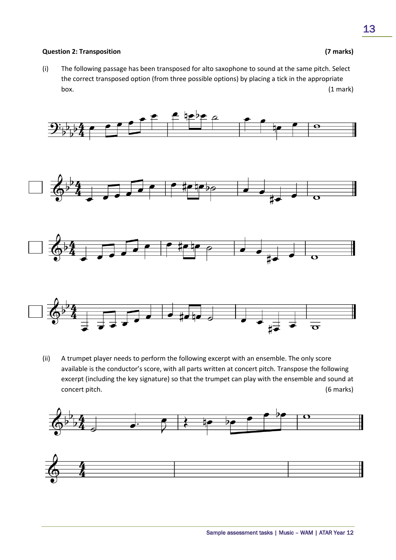### **Question 2: Transposition (7 marks)**

(i) The following passage has been transposed for alto saxophone to sound at the same pitch. Select the correct transposed option (from three possible options) by placing a tick in the appropriate box. (1 mark)



(ii) A trumpet player needs to perform the following excerpt with an ensemble. The only score available is the conductor's score, with all parts written at concert pitch. Transpose the following excerpt (including the key signature) so that the trumpet can play with the ensemble and sound at concert pitch. (6 marks)



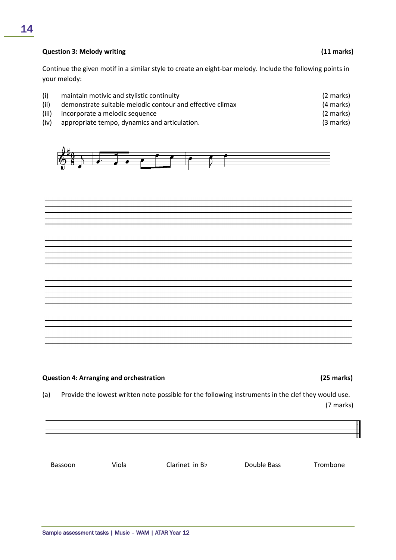### **Question 3: Melody writing (11 marks)**

Continue the given motif in a similar style to create an eight-bar melody. Include the following points in your melody:

| (i)   | maintain motivic and stylistic continuity                 | (2 marks) |
|-------|-----------------------------------------------------------|-----------|
| (ii)  | demonstrate suitable melodic contour and effective climax | (4 marks) |
| (iii) | incorporate a melodic sequence                            | (2 marks) |
| (iv)  | appropriate tempo, dynamics and articulation.             | (3 marks) |



### **Question 4: Arranging and orchestration (25 marks)**

(a) Provide the lowest written note possible for the following instruments in the clef they would use. (7 marks)

Bassoon Viola Clarinet in B♭ Double Bass Trombone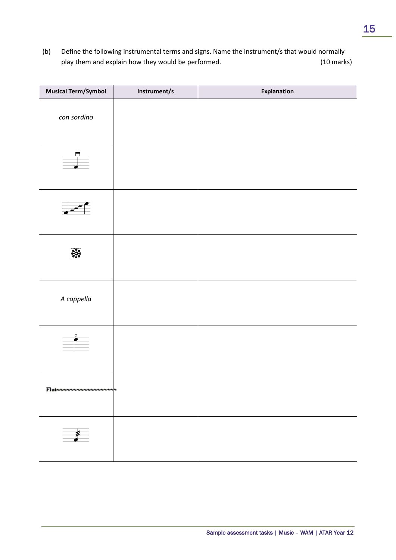(b) Define the following instrumental terms and signs. Name the instrument/s that would normally play them and explain how they would be performed. The same state of 10 marks)

| <b>Musical Term/Symbol</b> | Instrument/s | Explanation |
|----------------------------|--------------|-------------|
| con sordino                |              |             |
| $\equiv$                   |              |             |
| $\sim$                     |              |             |
| 米                          |              |             |
| A cappella                 |              |             |
| $\overrightarrow{ }$       |              |             |
| Flutennmann                |              |             |
| $\frac{1}{2}$              |              |             |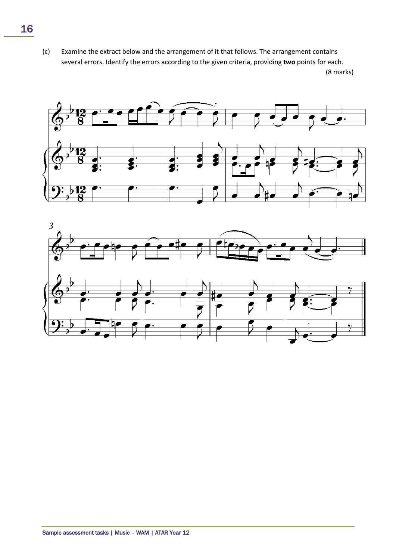(c) Examine the extract below and the arrangement of it that follows. The arrangement contains several errors. Identify the errors according to the given criteria, providing **two** points for each.

(8 marks)



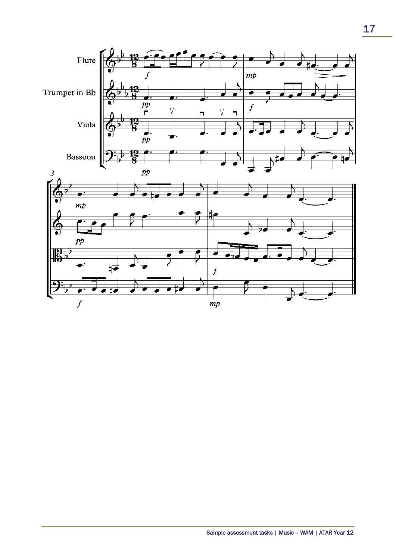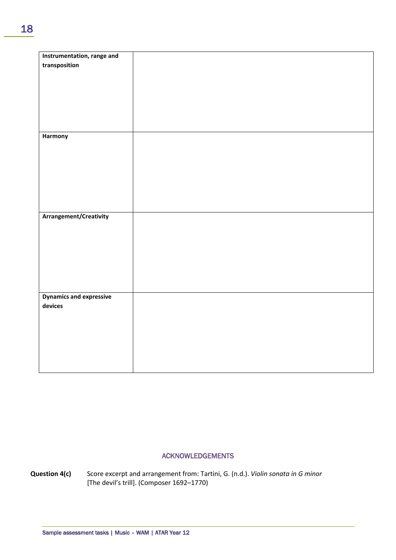| Instrumentation, range and     |  |
|--------------------------------|--|
| transposition                  |  |
|                                |  |
|                                |  |
|                                |  |
|                                |  |
|                                |  |
|                                |  |
|                                |  |
|                                |  |
| Harmony                        |  |
|                                |  |
|                                |  |
|                                |  |
|                                |  |
|                                |  |
|                                |  |
|                                |  |
|                                |  |
|                                |  |
| Arrangement/Creativity         |  |
|                                |  |
|                                |  |
|                                |  |
|                                |  |
|                                |  |
|                                |  |
|                                |  |
|                                |  |
|                                |  |
| <b>Dynamics and expressive</b> |  |
| devices                        |  |
|                                |  |
|                                |  |
|                                |  |
|                                |  |
|                                |  |
|                                |  |
|                                |  |
|                                |  |

### ACKNOWLEDGEMENTS

**Question 4(c)** Score excerpt and arrangement from: Tartini, G. (n.d.). *Violin sonata in G minor* [The devil's trill]. (Composer 1692–1770)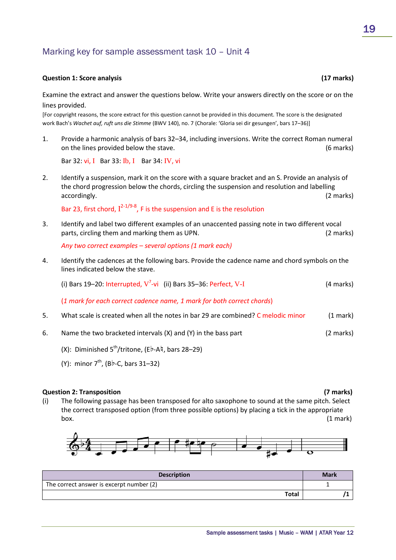## Marking key for sample assessment task 10 – Unit 4

### **Question 1: Score analysis (17 marks)**

Examine the extract and answer the questions below. Write your answers directly on the score or on the lines provided.

[For copyright reasons, the score extract for this question cannot be provided in this document. The score is the designated work Bach's *Wachet auf, ruft uns die Stimme* (BWV 140), no. 7 (Chorale: 'Gloria sei dir gesungen', bars 17–36)]

1. Provide a harmonic analysis of bars 32–34, including inversions. Write the correct Roman numeral on the lines provided below the stave. (6 marks)

Bar 32: vi, I Bar 33: Ib, I Bar 34: IV, vi

2. Identify a suspension, mark it on the score with a square bracket and an S. Provide an analysis of the chord progression below the chords, circling the suspension and resolution and labelling accordingly. (2 marks)

Bar 23, first chord,  $I^{2-1/9-8}$ , F is the suspension and E is the resolution

3. Identify and label two different examples of an unaccented passing note in two different vocal parts, circling them and marking them as UPN. (2 marks)

*Any two correct examples – several options (1 mark each)*

4. Identify the cadences at the following bars. Provide the cadence name and chord symbols on the lines indicated below the stave.

| (i) Bars 19–20: Interrupted, $V'$ -vi (ii) Bars 35–36: Perfect, V-I |  | (4 marks) |
|---------------------------------------------------------------------|--|-----------|
|---------------------------------------------------------------------|--|-----------|

(*1 mark for each correct cadence name, 1 mark for both correct chords*)

- 5. What scale is created when all the notes in bar 29 are combined? C melodic minor (1 mark)
- 6. Name the two bracketed intervals (X) and (Y) in the bass part (2 marks)
	- (X): Diminished  $5<sup>th</sup>/tritone$ , (Eb-Aq, bars 28–29)
	- (Y): minor  $7^{th}$ , (Bb-C, bars 31–32)

### **Question 2: Transposition (7 marks)**

(i) The following passage has been transposed for alto saxophone to sound at the same pitch. Select the correct transposed option (from three possible options) by placing a tick in the appropriate box. (1 mark)



| <b>Description</b>                       | Mark |
|------------------------------------------|------|
| The correct answer is excerpt number (2) |      |
| <b>Total</b>                             |      |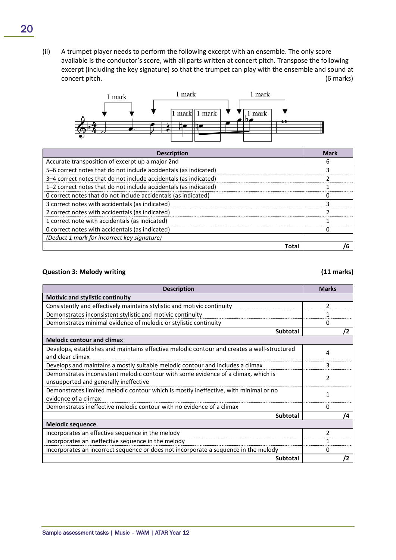(ii) A trumpet player needs to perform the following excerpt with an ensemble. The only score available is the conductor's score, with all parts written at concert pitch. Transpose the following excerpt (including the key signature) so that the trumpet can play with the ensemble and sound at concert pitch. (6 marks)



| <b>Description</b>                                               |  |
|------------------------------------------------------------------|--|
| Accurate transposition of excerpt up a major 2nd                 |  |
| 5-6 correct notes that do not include accidentals (as indicated) |  |
| 3–4 correct notes that do not include accidentals (as indicated) |  |
| 1–2 correct notes that do not include accidentals (as indicated) |  |
| 0 correct notes that do not include accidentals (as indicated)   |  |
| 3 correct notes with accidentals (as indicated)                  |  |
| 2 correct notes with accidentals (as indicated)                  |  |
| 1 correct note with accidentals (as indicated)                   |  |
| 0 correct notes with accidentals (as indicated)                  |  |
| (Deduct 1 mark for incorrect key signature)                      |  |
|                                                                  |  |

### **Question 3: Melody writing (11 marks)**

| <b>Description</b>                                                                                                          | <b>Marks</b> |
|-----------------------------------------------------------------------------------------------------------------------------|--------------|
| Motivic and stylistic continuity                                                                                            |              |
| Consistently and effectively maintains stylistic and motivic continuity                                                     |              |
| Demonstrates inconsistent stylistic and motivic continuity                                                                  |              |
| Demonstrates minimal evidence of melodic or stylistic continuity                                                            | $\mathbf{0}$ |
| <b>Subtotal</b>                                                                                                             | /2           |
| <b>Melodic contour and climax</b>                                                                                           |              |
| Develops, establishes and maintains effective melodic contour and creates a well-structured<br>and clear climax             | Δ            |
| Develops and maintains a mostly suitable melodic contour and includes a climax                                              | 3            |
| Demonstrates inconsistent melodic contour with some evidence of a climax, which is<br>unsupported and generally ineffective | 2            |
| Demonstrates limited melodic contour which is mostly ineffective, with minimal or no<br>evidence of a climax                | 1            |
| Demonstrates ineffective melodic contour with no evidence of a climax                                                       | O            |
| <b>Subtotal</b>                                                                                                             | 74           |
| <b>Melodic sequence</b>                                                                                                     |              |
| Incorporates an effective sequence in the melody                                                                            | 2            |
| Incorporates an ineffective sequence in the melody                                                                          |              |
| Incorporates an incorrect sequence or does not incorporate a sequence in the melody                                         | O)           |
| <b>Subtotal</b>                                                                                                             | /2           |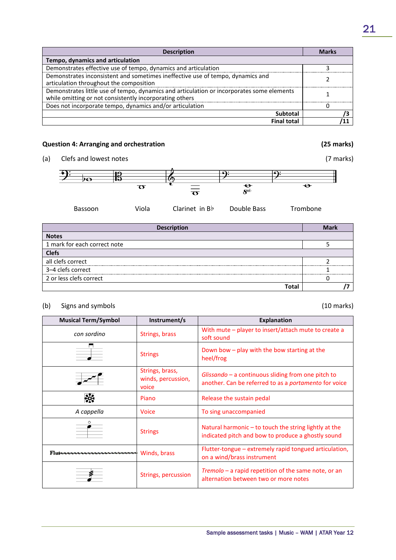| <b>Description</b>                                                                                                                                   | Marl |
|------------------------------------------------------------------------------------------------------------------------------------------------------|------|
| Tempo, dynamics and articulation                                                                                                                     |      |
| Demonstrates effective use of tempo, dynamics and articulation                                                                                       |      |
| Demonstrates inconsistent and sometimes ineffective use of tempo, dynamics and<br>articulation throughout the composition                            |      |
| Demonstrates little use of tempo, dynamics and articulation or incorporates some elements<br>while omitting or not consistently incorporating others |      |
| Does not incorporate tempo, dynamics and/or articulation                                                                                             |      |
| Subtotal                                                                                                                                             |      |
| <b>Final total</b>                                                                                                                                   |      |

### **Question 4: Arranging and orchestration (25 marks)**

### (a) Clefs and lowest notes (7 marks) 13  $\overline{\bullet}$  $\overline{\sigma}$  $\overline{\bullet}$  $\widetilde{S^{vt}}$  $\overline{\overline{\sigma}}$ Bassoon Viola Clarinet in B♭ Double Bass Trombone

| <b>Description</b>           | Mark |
|------------------------------|------|
| <b>Notes</b>                 |      |
| 1 mark for each correct note |      |
| <b>Clefs</b>                 |      |
| all clefs correct            |      |
| 3-4 clefs correct            |      |
| 2 or less clefs correct      |      |
| Tota                         |      |

### (b) Signs and symbols (10 marks)

### **Musical Term/Symbol Instrument/s Explanation con sordino** Strings, brass With mute – player to insert/attach mute to create a soft sound Strings Down bow – play with the bow starting at the heel/frog Strings, brass, *Glissando* – a continuous sliding from one pitch to  $\overline{\phantom{a}}$ winds, percussion, another. Can be referred to as a *portamento* for voice voice 柴 Piano Release the sustain pedal *A cappella* **Voice To sing unaccompanied** Strings Natural harmonic – to touch the string lightly at the strings indicated pitch and bow to produce a ghostly sound Winds, brass Flutter-tongue – extremely rapid tongued articulation, Flutes on a wind/brass instrument Strings, percussion *Tremolo* – a rapid repetition of the same note, or an alternation between two or more notes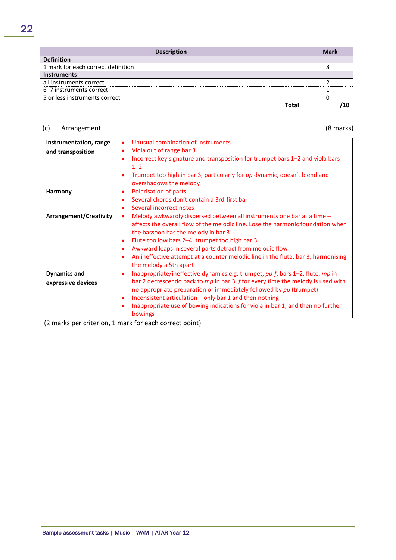| <b>Description</b>                 | Mark |
|------------------------------------|------|
| <b>Definition</b>                  |      |
| 1 mark for each correct definition |      |
| <b>Instruments</b>                 |      |
| all instruments correct            |      |
| 6-7 instruments correct            |      |
| 5 or less instruments correct      |      |
| Tota                               |      |

## (c) Arrangement (8 marks)

| Instrumentation, range        | Unusual combination of instruments<br>٠                                                |
|-------------------------------|----------------------------------------------------------------------------------------|
| and transposition             | Viola out of range bar 3<br>٠                                                          |
|                               | Incorrect key signature and transposition for trumpet bars 1–2 and viola bars<br>٠     |
|                               | $1 - 2$                                                                                |
|                               | Trumpet too high in bar 3, particularly for pp dynamic, doesn't blend and<br>٠         |
|                               | overshadows the melody                                                                 |
| Harmony                       | Polarisation of parts<br>٠                                                             |
|                               | Several chords don't contain a 3rd-first bar<br>٠                                      |
|                               | Several incorrect notes<br>٠                                                           |
| <b>Arrangement/Creativity</b> | Melody awkwardly dispersed between all instruments one bar at a time -<br>٠            |
|                               | affects the overall flow of the melodic line. Lose the harmonic foundation when        |
|                               | the bassoon has the melody in bar 3                                                    |
|                               | Flute too low bars 2-4, trumpet too high bar 3<br>٠                                    |
|                               | Awkward leaps in several parts detract from melodic flow<br>٠                          |
|                               | An ineffective attempt at a counter melodic line in the flute, bar 3, harmonising<br>٠ |
|                               | the melody a 5th apart                                                                 |
| <b>Dynamics and</b>           | Inappropriate/ineffective dynamics e.g. trumpet, pp-f, bars 1-2, flute, mp in<br>٠     |
| expressive devices            | bar 2 decrescendo back to $mp$ in bar 3, $f$ for every time the melody is used with    |
|                               | no appropriate preparation or immediately followed by pp (trumpet)                     |
|                               | Inconsistent articulation $-$ only bar 1 and then nothing<br>٠                         |
|                               | Inappropriate use of bowing indications for viola in bar 1, and then no further<br>٠   |
|                               | bowings                                                                                |

(2 marks per criterion, 1 mark for each correct point)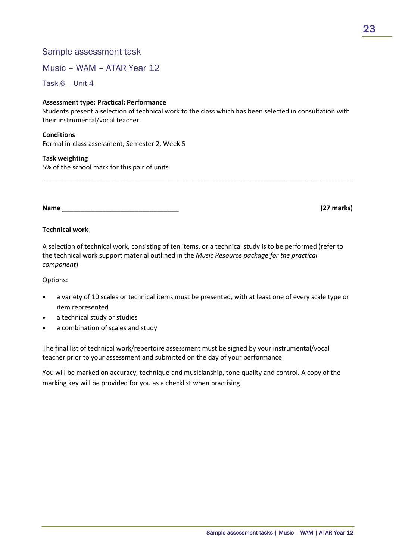### Sample assessment task

Music – WAM – ATAR Year 12

Task 6 – Unit 4

### **Assessment type: Practical: Performance**

Students present a selection of technical work to the class which has been selected in consultation with their instrumental/vocal teacher.

\_\_\_\_\_\_\_\_\_\_\_\_\_\_\_\_\_\_\_\_\_\_\_\_\_\_\_\_\_\_\_\_\_\_\_\_\_\_\_\_\_\_\_\_\_\_\_\_\_\_\_\_\_\_\_\_\_\_\_\_\_\_\_\_\_\_\_\_\_\_\_\_\_\_\_\_\_\_\_\_\_\_\_\_\_\_\_\_\_\_\_\_\_\_\_\_\_\_\_\_\_\_\_\_

### **Conditions**

Formal in-class assessment, Semester 2, Week 5

### **Task weighting**

5% of the school mark for this pair of units

**Name \_\_\_\_\_\_\_\_\_\_\_\_\_\_\_\_\_\_\_\_\_\_\_\_\_\_\_\_\_\_\_\_ (27 marks)**

### **Technical work**

A selection of technical work, consisting of ten items, or a technical study is to be performed (refer to the technical work support material outlined in the *Music Resource package for the practical component*)

Options:

- a variety of 10 scales or technical items must be presented, with at least one of every scale type or item represented
- a technical study or studies
- a combination of scales and study

The final list of technical work/repertoire assessment must be signed by your instrumental/vocal teacher prior to your assessment and submitted on the day of your performance.

You will be marked on accuracy, technique and musicianship, tone quality and control. A copy of the marking key will be provided for you as a checklist when practising.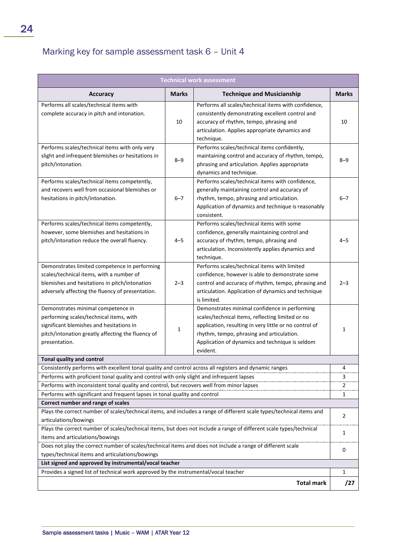## Marking key for sample assessment task 6 – Unit 4

| <b>Technical work assessment</b>                                                                                                    |              |                                                                                                                       |              |  |
|-------------------------------------------------------------------------------------------------------------------------------------|--------------|-----------------------------------------------------------------------------------------------------------------------|--------------|--|
| <b>Accuracy</b>                                                                                                                     | <b>Marks</b> | <b>Technique and Musicianship</b>                                                                                     | <b>Marks</b> |  |
| Performs all scales/technical items with                                                                                            |              | Performs all scales/technical items with confidence,                                                                  |              |  |
| complete accuracy in pitch and intonation.                                                                                          |              | consistently demonstrating excellent control and                                                                      |              |  |
|                                                                                                                                     | 10           | accuracy of rhythm, tempo, phrasing and                                                                               | 10           |  |
|                                                                                                                                     |              | articulation. Applies appropriate dynamics and                                                                        |              |  |
|                                                                                                                                     |              | technique.                                                                                                            |              |  |
| Performs scales/technical items with only very<br>slight and infrequent blemishes or hesitations in                                 |              | Performs scales/technical items confidently,                                                                          |              |  |
| pitch/intonation.                                                                                                                   | $8 - 9$      | maintaining control and accuracy of rhythm, tempo,<br>phrasing and articulation. Applies appropriate                  | $8 - 9$      |  |
|                                                                                                                                     |              | dynamics and technique.                                                                                               |              |  |
| Performs scales/technical items competently,                                                                                        |              | Performs scales/technical items with confidence,                                                                      |              |  |
| and recovers well from occasional blemishes or                                                                                      |              | generally maintaining control and accuracy of                                                                         |              |  |
| hesitations in pitch/intonation.                                                                                                    | $6 - 7$      | rhythm, tempo, phrasing and articulation.                                                                             | $6 - 7$      |  |
|                                                                                                                                     |              | Application of dynamics and technique is reasonably                                                                   |              |  |
|                                                                                                                                     |              | consistent.                                                                                                           |              |  |
| Performs scales/technical items competently,                                                                                        |              | Performs scales/technical items with some                                                                             |              |  |
| however, some blemishes and hesitations in                                                                                          |              | confidence, generally maintaining control and                                                                         |              |  |
| pitch/intonation reduce the overall fluency.                                                                                        | $4 - 5$      | accuracy of rhythm, tempo, phrasing and                                                                               | $4 - 5$      |  |
|                                                                                                                                     |              | articulation. Inconsistently applies dynamics and                                                                     |              |  |
|                                                                                                                                     |              | technique.                                                                                                            |              |  |
| Demonstrates limited competence in performing                                                                                       |              | Performs scales/technical items with limited                                                                          |              |  |
| scales/technical items, with a number of                                                                                            |              | confidence, however is able to demonstrate some                                                                       |              |  |
| blemishes and hesitations in pitch/intonation                                                                                       | $2 - 3$      | control and accuracy of rhythm, tempo, phrasing and                                                                   | $2 - 3$      |  |
| adversely affecting the fluency of presentation.                                                                                    |              | articulation. Application of dynamics and technique                                                                   |              |  |
|                                                                                                                                     |              | is limited.                                                                                                           |              |  |
| Demonstrates minimal competence in                                                                                                  |              | Demonstrates minimal confidence in performing                                                                         |              |  |
| performing scales/technical items, with                                                                                             |              | scales/technical items, reflecting limited or no                                                                      |              |  |
| significant blemishes and hesitations in                                                                                            | $\mathbf{1}$ | application, resulting in very little or no control of                                                                | 1            |  |
| pitch/intonation greatly affecting the fluency of                                                                                   |              | rhythm, tempo, phrasing and articulation.                                                                             |              |  |
| presentation.                                                                                                                       |              | Application of dynamics and technique is seldom                                                                       |              |  |
|                                                                                                                                     |              | evident.                                                                                                              |              |  |
| Tonal quality and control<br>Consistently performs with excellent tonal quality and control across all registers and dynamic ranges |              |                                                                                                                       | 4            |  |
| Performs with proficient tonal quality and control with only slight and infrequent lapses                                           |              |                                                                                                                       | 3            |  |
| Performs with inconsistent tonal quality and control, but recovers well from minor lapses                                           |              |                                                                                                                       | 2            |  |
| Performs with significant and frequent lapses in tonal quality and control                                                          |              |                                                                                                                       | 1            |  |
| Correct number and range of scales                                                                                                  |              |                                                                                                                       |              |  |
|                                                                                                                                     |              | Plays the correct number of scales/technical items, and includes a range of different scale types/technical items and |              |  |
| articulations/bowings                                                                                                               |              |                                                                                                                       | 2            |  |
|                                                                                                                                     |              | Plays the correct number of scales/technical items, but does not include a range of different scale types/technical   |              |  |
| items and articulations/bowings                                                                                                     |              |                                                                                                                       | 1            |  |
| Does not play the correct number of scales/technical items and does not include a range of different scale                          |              |                                                                                                                       | 0            |  |
| types/technical items and articulations/bowings                                                                                     |              |                                                                                                                       |              |  |
| List signed and approved by instrumental/vocal teacher                                                                              |              |                                                                                                                       |              |  |
| Provides a signed list of technical work approved by the instrumental/vocal teacher                                                 |              |                                                                                                                       | 1            |  |
|                                                                                                                                     |              | <b>Total mark</b>                                                                                                     | /27          |  |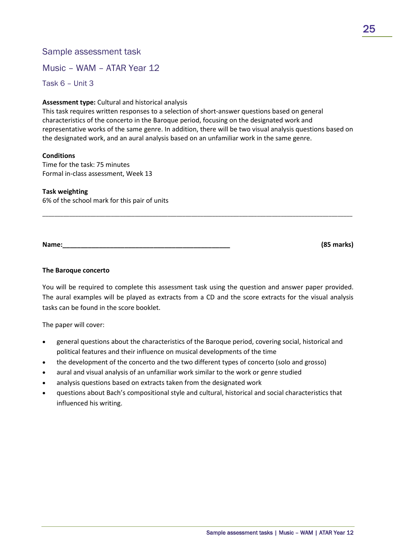### Sample assessment task

Music – WAM – ATAR Year 12

Task 6 – Unit 3

### **Assessment type:** Cultural and historical analysis

This task requires written responses to a selection of short-answer questions based on general characteristics of the concerto in the Baroque period, focusing on the designated work and representative works of the same genre. In addition, there will be two visual analysis questions based on the designated work, and an aural analysis based on an unfamiliar work in the same genre.

### **Conditions**

Time for the task: 75 minutes Formal in-class assessment, Week 13

### **Task weighting**

6% of the school mark for this pair of units

**Name:\_\_\_\_\_\_\_\_\_\_\_\_\_\_\_\_\_\_\_\_\_\_\_\_\_\_\_\_\_\_\_\_\_\_\_\_\_\_\_\_\_\_\_\_\_\_ (85 marks)**

### **The Baroque concerto**

You will be required to complete this assessment task using the question and answer paper provided. The aural examples will be played as extracts from a CD and the score extracts for the visual analysis tasks can be found in the score booklet.

\_\_\_\_\_\_\_\_\_\_\_\_\_\_\_\_\_\_\_\_\_\_\_\_\_\_\_\_\_\_\_\_\_\_\_\_\_\_\_\_\_\_\_\_\_\_\_\_\_\_\_\_\_\_\_\_\_\_\_\_\_\_\_\_\_\_\_\_\_\_\_\_\_\_\_\_\_\_\_\_\_\_\_\_\_\_\_\_\_\_\_\_\_\_\_\_\_\_\_\_\_\_\_\_

The paper will cover:

- general questions about the characteristics of the Baroque period, covering social, historical and political features and their influence on musical developments of the time
- the development of the concerto and the two different types of concerto (solo and grosso)
- aural and visual analysis of an unfamiliar work similar to the work or genre studied
- analysis questions based on extracts taken from the designated work
- questions about Bach's compositional style and cultural, historical and social characteristics that influenced his writing.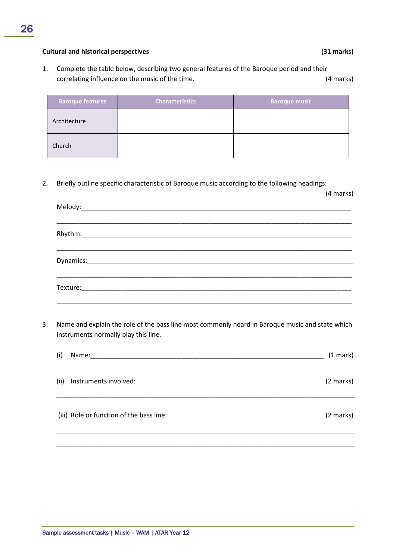### **Cultural and historical perspectives (31 marks)**

1. Complete the table below, describing two general features of the Baroque period and their correlating influence on the music of the time. (4 marks)

| <b>Baroque features</b> | <b>Characteristics</b> | <b>Baroque music</b> |
|-------------------------|------------------------|----------------------|
| Architecture            |                        |                      |
| Church                  |                        |                      |

2. Briefly outline specific characteristic of Baroque music according to the following headings:

| (4 marks) |
|-----------|
|           |
|           |
|           |
|           |
|           |

3. Name and explain the role of the bass line most commonly heard in Baroque music and state which instruments normally play this line.

| (i)  | Name:                                    | (1 mark)  |
|------|------------------------------------------|-----------|
| (ii) | Instruments involved:                    | (2 marks) |
|      | (iii) Role or function of the bass line: | (2 marks) |

\_\_\_\_\_\_\_\_\_\_\_\_\_\_\_\_\_\_\_\_\_\_\_\_\_\_\_\_\_\_\_\_\_\_\_\_\_\_\_\_\_\_\_\_\_\_\_\_\_\_\_\_\_\_\_\_\_\_\_\_\_\_\_\_\_\_\_\_\_\_\_\_\_\_\_\_\_\_\_\_\_\_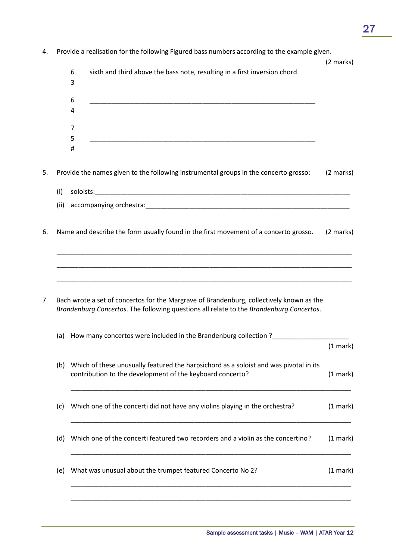| Provide a realisation for the following Figured bass numbers according to the example given. |   |                                                                                                                                                                                     | (2 marks)          |
|----------------------------------------------------------------------------------------------|---|-------------------------------------------------------------------------------------------------------------------------------------------------------------------------------------|--------------------|
|                                                                                              |   |                                                                                                                                                                                     |                    |
|                                                                                              | 6 | sixth and third above the bass note, resulting in a first inversion chord                                                                                                           |                    |
|                                                                                              | 3 |                                                                                                                                                                                     |                    |
|                                                                                              | 6 |                                                                                                                                                                                     |                    |
|                                                                                              | 4 |                                                                                                                                                                                     |                    |
|                                                                                              | 7 |                                                                                                                                                                                     |                    |
|                                                                                              | 5 |                                                                                                                                                                                     |                    |
|                                                                                              | # |                                                                                                                                                                                     |                    |
|                                                                                              |   | Provide the names given to the following instrumental groups in the concerto grosso:                                                                                                | (2 marks)          |
| (i)                                                                                          |   |                                                                                                                                                                                     |                    |
| (ii)                                                                                         |   |                                                                                                                                                                                     |                    |
|                                                                                              |   |                                                                                                                                                                                     |                    |
|                                                                                              |   | Name and describe the form usually found in the first movement of a concerto grosso.                                                                                                | (2 marks)          |
|                                                                                              |   |                                                                                                                                                                                     |                    |
|                                                                                              |   |                                                                                                                                                                                     |                    |
|                                                                                              |   | Bach wrote a set of concertos for the Margrave of Brandenburg, collectively known as the<br>Brandenburg Concertos. The following questions all relate to the Brandenburg Concertos. |                    |
| (a)                                                                                          |   |                                                                                                                                                                                     |                    |
|                                                                                              |   | How many concertos were included in the Brandenburg collection ?________________                                                                                                    | $(1 \text{ mark})$ |
| (b)                                                                                          |   | Which of these unusually featured the harpsichord as a soloist and was pivotal in its<br>contribution to the development of the keyboard concerto?                                  | (1 mark)           |
| (c)                                                                                          |   | Which one of the concerti did not have any violins playing in the orchestra?                                                                                                        | (1 mark)           |
| (d)                                                                                          |   | Which one of the concerti featured two recorders and a violin as the concertino?                                                                                                    | (1 mark)           |

\_\_\_\_\_\_\_\_\_\_\_\_\_\_\_\_\_\_\_\_\_\_\_\_\_\_\_\_\_\_\_\_\_\_\_\_\_\_\_\_\_\_\_\_\_\_\_\_\_\_\_\_\_\_\_\_\_\_\_\_\_\_\_\_\_\_\_\_\_\_\_\_\_\_\_\_\_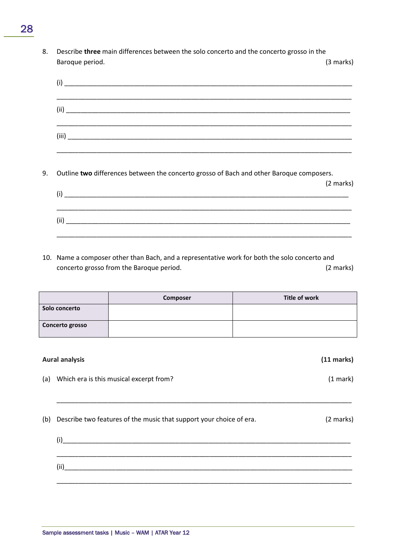- Describe three main differences between the solo concerto and the concerto grosso in the 8. Baroque period. (3 marks)  $(ii)$
- Outline two differences between the concerto grosso of Bach and other Baroque composers. 9.

|      | (2 marks) |
|------|-----------|
| (i)  |           |
| (ii) |           |
|      |           |

10. Name a composer other than Bach, and a representative work for both the solo concerto and concerto grosso from the Baroque period. (2 marks)

|                 | <b>Composer</b> | Title of work |
|-----------------|-----------------|---------------|
| Solo concerto   |                 |               |
| Concerto grosso |                 |               |

| <b>Aural analysis</b> | $(11$ marks)                                                        |           |
|-----------------------|---------------------------------------------------------------------|-----------|
|                       | (a) Which era is this musical excerpt from?                         | (1 mark)  |
|                       |                                                                     |           |
| (b)                   | Describe two features of the music that support your choice of era. | (2 marks) |
|                       | (i)                                                                 |           |
|                       | (i)                                                                 |           |
|                       |                                                                     |           |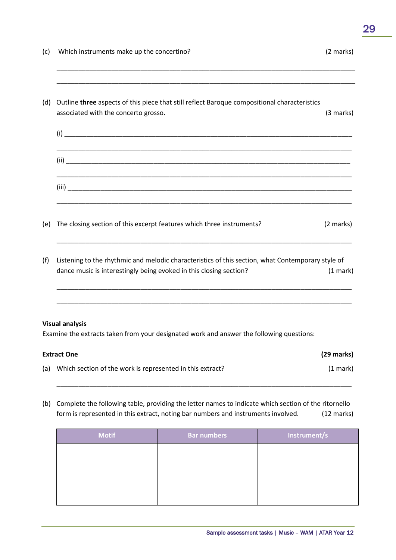### (c) Which instruments make up the concertino? (2 marks)

| (d) | Outline three aspects of this piece that still reflect Baroque compositional characteristics<br>associated with the concerto grosso.                                    | $(3 \text{ marks})$ |
|-----|-------------------------------------------------------------------------------------------------------------------------------------------------------------------------|---------------------|
|     |                                                                                                                                                                         |                     |
|     |                                                                                                                                                                         |                     |
|     |                                                                                                                                                                         |                     |
| (e) | The closing section of this excerpt features which three instruments?                                                                                                   | (2 marks)           |
| (f) | Listening to the rhythmic and melodic characteristics of this section, what Contemporary style of<br>dance music is interestingly being evoked in this closing section? | (1 mark)            |
|     |                                                                                                                                                                         |                     |

\_\_\_\_\_\_\_\_\_\_\_\_\_\_\_\_\_\_\_\_\_\_\_\_\_\_\_\_\_\_\_\_\_\_\_\_\_\_\_\_\_\_\_\_\_\_\_\_\_\_\_\_\_\_\_\_\_\_\_\_\_\_\_\_\_\_\_\_\_\_\_\_\_\_\_\_\_\_\_\_\_\_

\_\_\_\_\_\_\_\_\_\_\_\_\_\_\_\_\_\_\_\_\_\_\_\_\_\_\_\_\_\_\_\_\_\_\_\_\_\_\_\_\_\_\_\_\_\_\_\_\_\_\_\_\_\_\_\_\_\_\_\_\_\_\_\_\_\_\_\_\_\_\_\_\_\_\_\_\_\_\_\_\_\_

Examine the extracts taken from your designated work and answer the following questions:

| <b>Extract One</b>                                            | $(29$ marks) |
|---------------------------------------------------------------|--------------|
| (a) Which section of the work is represented in this extract? | $(1$ mark)   |

\_\_\_\_\_\_\_\_\_\_\_\_\_\_\_\_\_\_\_\_\_\_\_\_\_\_\_\_\_\_\_\_\_\_\_\_\_\_\_\_\_\_\_\_\_\_\_\_\_\_\_\_\_\_\_\_\_\_\_\_\_\_\_\_\_\_\_\_\_\_\_\_\_\_\_\_\_\_\_\_\_

(b) Complete the following table, providing the letter names to indicate which section of the ritornello form is represented in this extract, noting bar numbers and instruments involved. (12 marks)

| <b>Motif</b> | <b>Bar numbers</b> | Instrument/s |
|--------------|--------------------|--------------|
|              |                    |              |
|              |                    |              |
|              |                    |              |
|              |                    |              |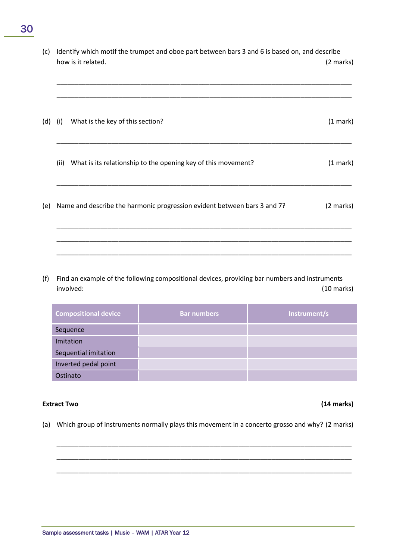| (c) | Identify which motif the trumpet and oboe part between bars 3 and 6 is based on, and describe |            |
|-----|-----------------------------------------------------------------------------------------------|------------|
|     | how is it related.                                                                            | (2 marks)  |
| (d) | What is the key of this section?<br>(i)                                                       | $(1$ mark) |
|     | What is its relationship to the opening key of this movement?<br>(ii)                         | $(1$ mark) |
| (e) | Name and describe the harmonic progression evident between bars 3 and 7?                      | (2 marks)  |
|     |                                                                                               |            |

(f) Find an example of the following compositional devices, providing bar numbers and instruments involved: (10 marks)

| <b>Compositional device</b> | <b>Bar numbers</b> | Instrument/s |
|-----------------------------|--------------------|--------------|
| Sequence                    |                    |              |
| Imitation                   |                    |              |
| Sequential imitation        |                    |              |
| Inverted pedal point        |                    |              |
| Ostinato                    |                    |              |

### **Extract Two (14 marks)**

(a) Which group of instruments normally plays this movement in a concerto grosso and why? (2 marks)

\_\_\_\_\_\_\_\_\_\_\_\_\_\_\_\_\_\_\_\_\_\_\_\_\_\_\_\_\_\_\_\_\_\_\_\_\_\_\_\_\_\_\_\_\_\_\_\_\_\_\_\_\_\_\_\_\_\_\_\_\_\_\_\_\_\_\_\_\_\_\_\_\_\_\_\_\_\_\_\_\_

\_\_\_\_\_\_\_\_\_\_\_\_\_\_\_\_\_\_\_\_\_\_\_\_\_\_\_\_\_\_\_\_\_\_\_\_\_\_\_\_\_\_\_\_\_\_\_\_\_\_\_\_\_\_\_\_\_\_\_\_\_\_\_\_\_\_\_\_\_\_\_\_\_\_\_\_\_\_\_\_\_

\_\_\_\_\_\_\_\_\_\_\_\_\_\_\_\_\_\_\_\_\_\_\_\_\_\_\_\_\_\_\_\_\_\_\_\_\_\_\_\_\_\_\_\_\_\_\_\_\_\_\_\_\_\_\_\_\_\_\_\_\_\_\_\_\_\_\_\_\_\_\_\_\_\_\_\_\_\_\_\_\_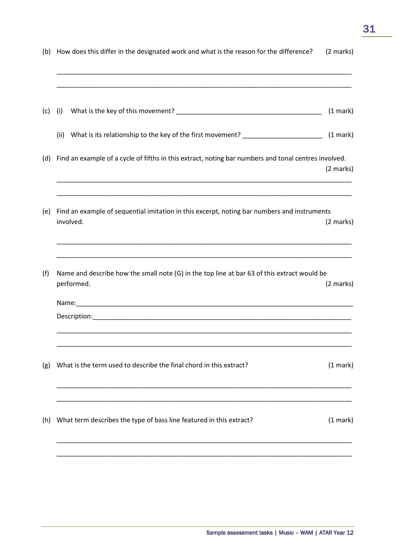| (b) | How does this differ in the designated work and what is the reason for the difference?                    | (2 marks)           |
|-----|-----------------------------------------------------------------------------------------------------------|---------------------|
| (c) | (i)                                                                                                       | (1 mark)            |
|     | What is its relationship to the key of the first movement? _____________________<br>(ii)                  | (1 mark)            |
| (d) | Find an example of a cycle of fifths in this extract, noting bar numbers and tonal centres involved.      | $(2 \text{ marks})$ |
| (e) | Find an example of sequential imitation in this excerpt, noting bar numbers and instruments<br>involved.  | (2 marks)           |
| (f) | Name and describe how the small note (G) in the top line at bar 63 of this extract would be<br>performed. | (2 marks)           |
|     |                                                                                                           |                     |
| (g) | What is the term used to describe the final chord in this extract?                                        | (1 mark)            |
| (h) | What term describes the type of bass line featured in this extract?                                       | (1 mark)            |
|     |                                                                                                           |                     |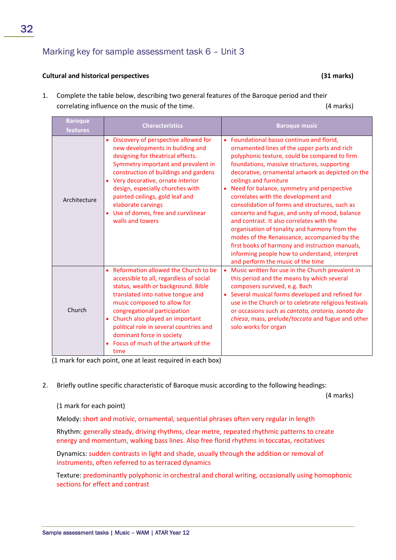## Marking key for sample assessment task 6 – Unit 3

### **Cultural and historical perspectives (31 marks)**

1. Complete the table below, describing two general features of the Baroque period and their correlating influence on the music of the time. (4 marks)

| <b>Baroque</b><br>features | <b>Characteristics</b>                                                                                                                                                                                                                                                                                                                                                                                    | <b>Baroque music</b>                                                                                                                                                                                                                                                                                                                                                                                                                                                                                                                                                                                                                                                                                                                                     |
|----------------------------|-----------------------------------------------------------------------------------------------------------------------------------------------------------------------------------------------------------------------------------------------------------------------------------------------------------------------------------------------------------------------------------------------------------|----------------------------------------------------------------------------------------------------------------------------------------------------------------------------------------------------------------------------------------------------------------------------------------------------------------------------------------------------------------------------------------------------------------------------------------------------------------------------------------------------------------------------------------------------------------------------------------------------------------------------------------------------------------------------------------------------------------------------------------------------------|
| Architecture               | Discovery of perspective allowed for<br>$\bullet$<br>new developments in building and<br>designing for theatrical effects.<br>Symmetry important and prevalent in<br>construction of buildings and gardens<br>• Very decorative, ornate interior<br>design, especially churches with<br>painted ceilings, gold leaf and<br>elaborate carvings<br>• Use of domes, free and curvilinear<br>walls and towers | • Foundational basso continuo and florid,<br>ornamented lines of the upper parts and rich<br>polyphonic texture, could be compared to firm<br>foundations, massive structures, supporting<br>decorative, ornamental artwork as depicted on the<br>ceilings and furniture<br>Need for balance, symmetry and perspective<br>correlates with the development and<br>consolidation of forms and structures, such as<br>concerto and fugue, and unity of mood, balance<br>and contrast. It also correlates with the<br>organisation of tonality and harmony from the<br>modes of the Renaissance, accompanied by the<br>first books of harmony and instruction manuals,<br>informing people how to understand, interpret<br>and perform the music of the time |
| Church                     | • Reformation allowed the Church to be<br>accessible to all, regardless of social<br>status, wealth or background. Bible<br>translated into native tongue and<br>music composed to allow for<br>congregational participation<br>Church also played an important<br>$\bullet$<br>political role in several countries and<br>dominant force in society<br>Focus of much of the artwork of the<br>time       | Music written for use in the Church prevalent in<br>this period and the means by which several<br>composers survived, e.g. Bach<br>Several musical forms developed and refined for<br>use in the Church or to celebrate religious festivals<br>or occasions such as cantata, oratorio, sonata da<br>chiesa, mass, prelude/toccata and fugue and other<br>solo works for organ                                                                                                                                                                                                                                                                                                                                                                            |

(1 mark for each point, one at least required in each box)

2. Briefly outline specific characteristic of Baroque music according to the following headings:

(4 marks)

### (1 mark for each point)

Melody: short and motivic, ornamental, sequential phrases often very regular in length

Rhythm: generally steady, driving rhythms, clear metre, repeated rhythmic patterns to create energy and momentum, walking bass lines. Also free florid rhythms in toccatas, recitatives

Dynamics: sudden contrasts in light and shade, usually through the addition or removal of instruments, often referred to as terraced dynamics

Texture: predominantly polyphonic in orchestral and choral writing, occasionally using homophonic sections for effect and contrast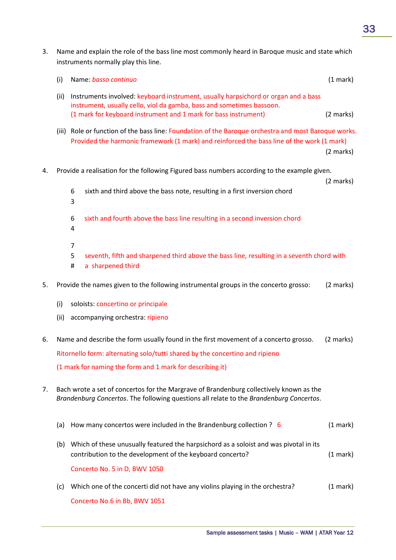3. Name and explain the role of the bass line most commonly heard in Baroque music and state which instruments normally play this line.

|    | (i)  | Name: basso continuo                                                                                                                                                                                                           | (1 mark)  |
|----|------|--------------------------------------------------------------------------------------------------------------------------------------------------------------------------------------------------------------------------------|-----------|
|    | (ii) | Instruments involved: keyboard instrument, usually harpsichord or organ and a bass<br>instrument, usually cello, viol da gamba, bass and sometimes bassoon.<br>(1 mark for keyboard instrument and 1 mark for bass instrument) | (2 marks) |
|    |      | (iii) Role or function of the bass line: Foundation of the Baroque orchestra and most Baroque works.<br>Provided the harmonic framework (1 mark) and reinforced the bass line of the work (1 mark)                             | (2 marks) |
| 4. |      | Provide a realisation for the following Figured bass numbers according to the example given.                                                                                                                                   | (2 marks) |
|    |      | sixth and third above the bass note, resulting in a first inversion chord<br>6<br>3                                                                                                                                            |           |
|    |      | sixth and fourth above the bass line resulting in a second inversion chord<br>6<br>4                                                                                                                                           |           |
|    |      | 7<br>5<br>seventh, fifth and sharpened third above the bass line, resulting in a seventh chord with<br>a sharpened third<br>#                                                                                                  |           |
| 5. |      | Provide the names given to the following instrumental groups in the concerto grosso:                                                                                                                                           | (2 marks) |
|    | (i)  | soloists: concertino or principale                                                                                                                                                                                             |           |
|    | (ii) | accompanying orchestra: ripieno                                                                                                                                                                                                |           |
| 6. |      | Name and describe the form usually found in the first movement of a concerto grosso.                                                                                                                                           | (2 marks) |
|    |      | Ritornello form: alternating solo/tutti shared by the concertino and ripieno                                                                                                                                                   |           |
|    |      | (1 mark for naming the form and 1 mark for describing it)                                                                                                                                                                      |           |
| 7. |      | Bach wrote a set of concertos for the Margrave of Brandenburg collectively known as the<br>Brandenburg Concertos. The following questions all relate to the Brandenburg Concertos.                                             |           |
|    | (a)  | How many concertos were included in the Brandenburg collection ? 6                                                                                                                                                             | (1 mark)  |
|    | (b)  | Which of these unusually featured the harpsichord as a soloist and was pivotal in its<br>contribution to the development of the keyboard concerto?                                                                             | (1 mark)  |
|    |      | Concerto No. 5 in D, BWV 1050                                                                                                                                                                                                  |           |
|    | (c)  | Which one of the concerti did not have any violins playing in the orchestra?                                                                                                                                                   | (1 mark)  |

Concerto No.6 in Bb, BWV 1051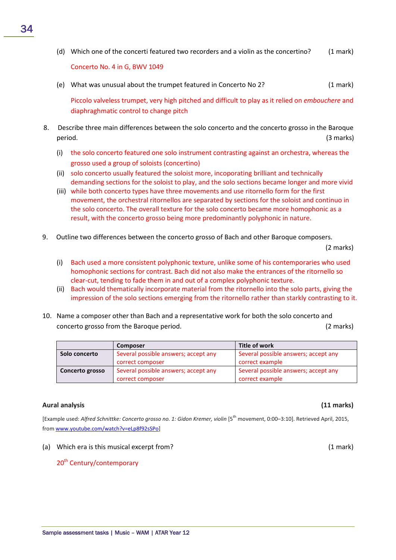(d) Which one of the concerti featured two recorders and a violin as the concertino? (1 mark)

Concerto No. 4 in G, BWV 1049

(e) What was unusual about the trumpet featured in Concerto No 2? (1 mark)

Piccolo valveless trumpet, very high pitched and difficult to play as it relied on *embouchere* and diaphraghmatic control to change pitch

- 8. Describe three main differences between the solo concerto and the concerto grosso in the Baroque period. (3 marks)
	- (i) the solo concerto featured one solo instrument contrasting against an orchestra, whereas the grosso used a group of soloists (concertino)
	- (ii) solo concerto usually featured the soloist more, incoporating brilliant and technically demanding sections for the soloist to play, and the solo sections became longer and more vivid
	- (iii) while both concerto types have three movements and use ritornello form for the first movement, the orchestral ritornellos are separated by sections for the soloist and continuo in the solo concerto. The overall texture for the solo concerto became more homophonic as a result, with the concerto grosso being more predominantly polyphonic in nature.
- 9. Outline two differences between the concerto grosso of Bach and other Baroque composers.

(2 marks)

- (i) Bach used a more consistent polyphonic texture, unlike some of his contemporaries who used homophonic sections for contrast. Bach did not also make the entrances of the ritornello so clear-cut, tending to fade them in and out of a complex polyphonic texture.
- (ii) Bach would thematically incorporate material from the ritornello into the solo parts, giving the impression of the solo sections emerging from the ritornello rather than starkly contrasting to it.
- 10. Name a composer other than Bach and a representative work for both the solo concerto and concerto grosso from the Baroque period. (2 marks)

|                 | <b>Composer</b>                      | Title of work                        |
|-----------------|--------------------------------------|--------------------------------------|
| Solo concerto   | Several possible answers; accept any | Several possible answers; accept any |
|                 | correct composer                     | correct example                      |
| Concerto grosso | Several possible answers; accept any | Several possible answers; accept any |
|                 | correct composer                     | correct example                      |

### **Aural analysis (11 marks)**

[Example used: *Alfred Schnittke: Concerto grosso no. 1: Gidon Kremer, violin* [5th movement, 0:00–3:10]. Retrieved April, 2015, fro[m www.youtube.com/watch?v=eLp8f92sSPo\]](http://www.youtube.com/watch?v=eLp8f92sSPo)

(a) Which era is this musical excerpt from? (1 mark)

20<sup>th</sup> Century/contemporary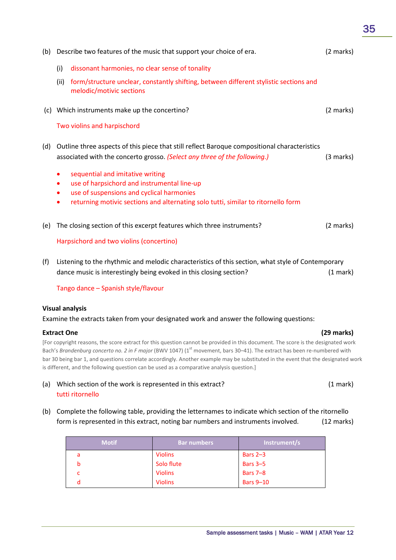| (b) | Describe two features of the music that support your choice of era.                                                                                                                                                                              | (2 marks) |
|-----|--------------------------------------------------------------------------------------------------------------------------------------------------------------------------------------------------------------------------------------------------|-----------|
|     | dissonant harmonies, no clear sense of tonality<br>(i)                                                                                                                                                                                           |           |
|     | form/structure unclear, constantly shifting, between different stylistic sections and<br>(ii)<br>melodic/motivic sections                                                                                                                        |           |
|     | (c) Which instruments make up the concertino?                                                                                                                                                                                                    | (2 marks) |
|     | Two violins and harpischord                                                                                                                                                                                                                      |           |
| (d) | Outline three aspects of this piece that still reflect Baroque compositional characteristics<br>associated with the concerto grosso. (Select any three of the following.)                                                                        | (3 marks) |
|     | sequential and imitative writing<br>٠<br>use of harpsichord and instrumental line-up<br>$\bullet$<br>use of suspensions and cyclical harmonies<br>$\bullet$<br>returning motivic sections and alternating solo tutti, similar to ritornello form |           |
| (e) | The closing section of this excerpt features which three instruments?                                                                                                                                                                            | (2 marks) |
|     | Harpsichord and two violins (concertino)                                                                                                                                                                                                         |           |
| (f) | Listening to the rhythmic and melodic characteristics of this section, what style of Contemporary<br>dance music is interestingly being evoked in this closing section?                                                                          | (1 mark)  |

Tango dance – Spanish style/flavour

### **Visual analysis**

Examine the extracts taken from your designated work and answer the following questions:

### **Extract One (29 marks)**

[For copyright reasons, the score extract for this question cannot be provided in this document. The score is the designated work Bach's *Brandenburg concerto no. 2 in F major* (BWV 1047) (1<sup>st</sup> movement, bars 30–41). The extract has been re-numbered with bar 30 being bar 1, and questions correlate accordingly. Another example may be substituted in the event that the designated work is different, and the following question can be used as a comparative analysis question.]

(a) Which section of the work is represented in this extract? (1 mark) tutti ritornello

(b) Complete the following table, providing the letternames to indicate which section of the ritornello form is represented in this extract, noting bar numbers and instruments involved.(12 marks)

| <b>Motif</b> | <b>Bar numbers</b> | Instrument/s     |
|--------------|--------------------|------------------|
| a            | <b>Violins</b>     | Bars $2-3$       |
|              | Solo flute         | <b>Bars 3-5</b>  |
|              | <b>Violins</b>     | <b>Bars 7-8</b>  |
|              | <b>Violins</b>     | <b>Bars 9-10</b> |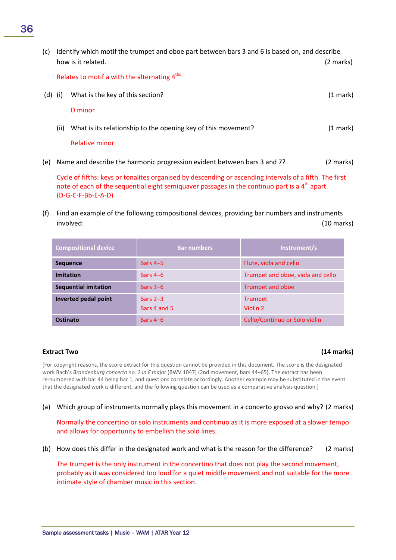(c) Identify which motif the trumpet and oboe part between bars 3 and 6 is based on, and describe how is it related. (2 marks) Relates to motif a with the alternating  $4<sup>ths</sup>$ (d) (i) What is the key of this section? (1 mark) D minor (ii) What is its relationship to the opening key of this movement? (1 mark)

Relative minor

(e) Name and describe the harmonic progression evident between bars 3 and 7? (2 marks)

Cycle of fifths: keys or tonalites organised by descending or ascending intervals of a fifth. The first note of each of the sequential eight semiguaver passages in the continuo part is a  $4<sup>th</sup>$  apart. (D-G-C-F-Bb-E-A-D)

(f) Find an example of the following compositional devices, providing bar numbers and instruments involved: (10 marks)

| <b>Compositional device</b> | <b>Bar numbers</b>         | Instrument/s                      |
|-----------------------------|----------------------------|-----------------------------------|
| <b>Sequence</b>             | Bars $4-5$                 | Flute, viola and cello            |
| <b>Imitation</b>            | Bars $4-6$                 | Trumpet and oboe, viola and cello |
| <b>Sequential imitation</b> | Bars $3-6$                 | Trumpet and oboe                  |
| Inverted pedal point        | Bars $2-3$<br>Bars 4 and 5 | <b>Trumpet</b><br>Violin 2        |
| Ostinato                    | Bars $4-6$                 | Cello/Continuo or Solo violin     |

### **Extract Two (14 marks)**

[For copyright reasons, the score extract for this question cannot be provided in this document. The score is the designated work Bach's *Brandenburg concerto no. 2 in F major* (BWV 1047) (2nd movement, bars 44–65). The extract has been re-numbered with bar 44 being bar 1, and questions correlate accordingly. Another example may be substituted in the event that the designated work is different, and the following question can be used as a comparative analysis question.]

(a) Which group of instruments normally plays this movement in a concerto grosso and why? (2 marks)

Normally the concertino or solo instruments and continuo as it is more exposed at a slower tempo and allows for opportunity to embellish the solo lines.

(b) How does this differ in the designated work and what is the reason for the difference? (2 marks)

The trumpet is the only instrument in the concertino that does not play the second movement, probably as it was considered too loud for a quiet middle movement and not suitable for the more intimate style of chamber music in this section.